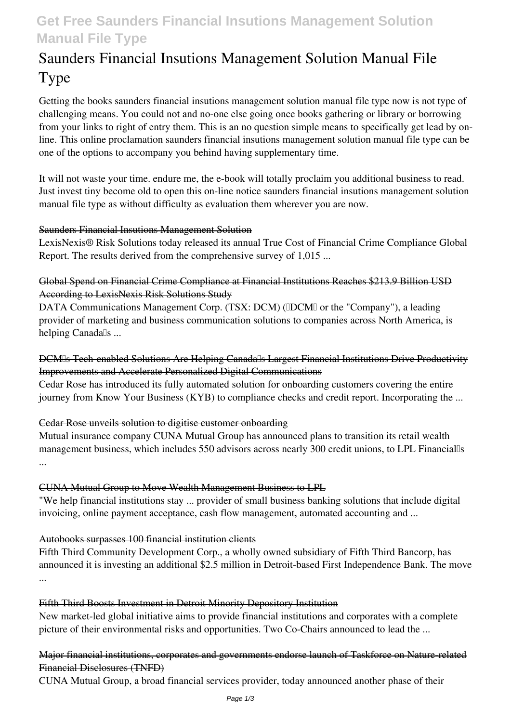# **Get Free Saunders Financial Insutions Management Solution Manual File Type**

# **Saunders Financial Insutions Management Solution Manual File Type**

Getting the books **saunders financial insutions management solution manual file type** now is not type of challenging means. You could not and no-one else going once books gathering or library or borrowing from your links to right of entry them. This is an no question simple means to specifically get lead by online. This online proclamation saunders financial insutions management solution manual file type can be one of the options to accompany you behind having supplementary time.

It will not waste your time. endure me, the e-book will totally proclaim you additional business to read. Just invest tiny become old to open this on-line notice **saunders financial insutions management solution manual file type** as without difficulty as evaluation them wherever you are now.

#### Saunders Financial Insutions Management Solution

LexisNexis® Risk Solutions today released its annual True Cost of Financial Crime Compliance Global Report. The results derived from the comprehensive survey of 1,015 ...

#### Global Spend on Financial Crime Compliance at Financial Institutions Reaches \$213.9 Billion USD According to LexisNexis Risk Solutions Study

DATA Communications Management Corp. (TSX: DCM) (IDCMI or the "Company"), a leading provider of marketing and business communication solutions to companies across North America, is helping Canada<sup>[]</sup>s ...

# DCM's Tech-enabled Solutions Are Helping Canada's Largest Financial Institutions Drive Productivity Improvements and Accelerate Personalized Digital Communications

Cedar Rose has introduced its fully automated solution for onboarding customers covering the entire journey from Know Your Business (KYB) to compliance checks and credit report. Incorporating the ...

# Cedar Rose unveils solution to digitise customer onboarding

Mutual insurance company CUNA Mutual Group has announced plans to transition its retail wealth management business, which includes 550 advisors across nearly 300 credit unions, to LPL Financialls ...

#### CUNA Mutual Group to Move Wealth Management Business to LPL

"We help financial institutions stay ... provider of small business banking solutions that include digital invoicing, online payment acceptance, cash flow management, automated accounting and ...

# Autobooks surpasses 100 financial institution clients

Fifth Third Community Development Corp., a wholly owned subsidiary of Fifth Third Bancorp, has announced it is investing an additional \$2.5 million in Detroit-based First Independence Bank. The move ...

#### Fifth Third Boosts Investment in Detroit Minority Depository Institution

New market-led global initiative aims to provide financial institutions and corporates with a complete picture of their environmental risks and opportunities. Two Co-Chairs announced to lead the ...

### Major financial institutions, corporates and governments endorse launch of Taskforce on Nature-related Financial Disclosures (TNFD)

CUNA Mutual Group, a broad financial services provider, today announced another phase of their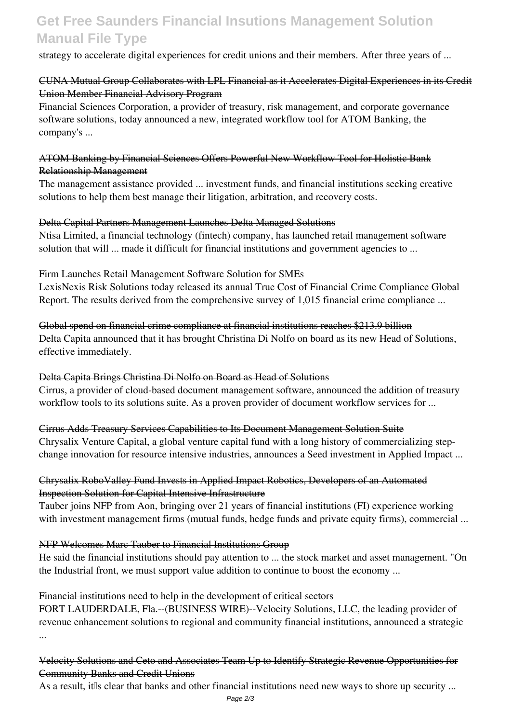# **Get Free Saunders Financial Insutions Management Solution Manual File Type**

strategy to accelerate digital experiences for credit unions and their members. After three years of ...

### CUNA Mutual Group Collaborates with LPL Financial as it Accelerates Digital Experiences in its Credit Union Member Financial Advisory Program

Financial Sciences Corporation, a provider of treasury, risk management, and corporate governance software solutions, today announced a new, integrated workflow tool for ATOM Banking, the company's ...

#### ATOM Banking by Financial Sciences Offers Powerful New Workflow Tool for Holistic Bank Relationship Management

The management assistance provided ... investment funds, and financial institutions seeking creative solutions to help them best manage their litigation, arbitration, and recovery costs.

### Delta Capital Partners Management Launches Delta Managed Solutions

Ntisa Limited, a financial technology (fintech) company, has launched retail management software solution that will ... made it difficult for financial institutions and government agencies to ...

### Firm Launches Retail Management Software Solution for SMEs

LexisNexis Risk Solutions today released its annual True Cost of Financial Crime Compliance Global Report. The results derived from the comprehensive survey of 1,015 financial crime compliance ...

Global spend on financial crime compliance at financial institutions reaches \$213.9 billion Delta Capita announced that it has brought Christina Di Nolfo on board as its new Head of Solutions, effective immediately.

# Delta Capita Brings Christina Di Nolfo on Board as Head of Solutions

Cirrus, a provider of cloud-based document management software, announced the addition of treasury workflow tools to its solutions suite. As a proven provider of document workflow services for ...

Cirrus Adds Treasury Services Capabilities to Its Document Management Solution Suite

Chrysalix Venture Capital, a global venture capital fund with a long history of commercializing stepchange innovation for resource intensive industries, announces a Seed investment in Applied Impact ...

# Chrysalix RoboValley Fund Invests in Applied Impact Robotics, Developers of an Automated Inspection Solution for Capital Intensive Infrastructure

Tauber joins NFP from Aon, bringing over 21 years of financial institutions (FI) experience working with investment management firms (mutual funds, hedge funds and private equity firms), commercial ...

#### NFP Welcomes Marc Tauber to Financial Institutions Group

He said the financial institutions should pay attention to ... the stock market and asset management. "On the Industrial front, we must support value addition to continue to boost the economy ...

#### Financial institutions need to help in the development of critical sectors

FORT LAUDERDALE, Fla.--(BUSINESS WIRE)--Velocity Solutions, LLC, the leading provider of revenue enhancement solutions to regional and community financial institutions, announced a strategic ...

# Velocity Solutions and Ceto and Associates Team Up to Identify Strategic Revenue Opportunities for Community Banks and Credit Unions

As a result, it is clear that banks and other financial institutions need new ways to shore up security ...